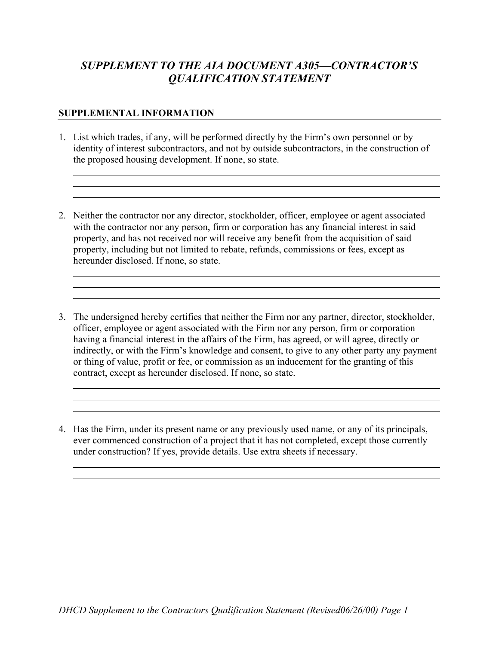## *SUPPLEMENT TO THE AIA DOCUMENT A305—CONTRACTOR'S QUALIFICATION STATEMENT*

## **SUPPLEMENTAL INFORMATION**

- 1. List which trades, if any, will be performed directly by the Firm's own personnel or by identity of interest subcontractors, and not by outside subcontractors, in the construction of the proposed housing development. If none, so state.
- 2. Neither the contractor nor any director, stockholder, officer, employee or agent associated with the contractor nor any person, firm or corporation has any financial interest in said property, and has not received nor will receive any benefit from the acquisition of said property, including but not limited to rebate, refunds, commissions or fees, except as hereunder disclosed. If none, so state.
- 3. The undersigned hereby certifies that neither the Firm nor any partner, director, stockholder, officer, employee or agent associated with the Firm nor any person, firm or corporation having a financial interest in the affairs of the Firm, has agreed, or will agree, directly or indirectly, or with the Firm's knowledge and consent, to give to any other party any payment or thing of value, profit or fee, or commission as an inducement for the granting of this contract, except as hereunder disclosed. If none, so state.

4. Has the Firm, under its present name or any previously used name, or any of its principals, ever commenced construction of a project that it has not completed, except those currently under construction? If yes, provide details. Use extra sheets if necessary.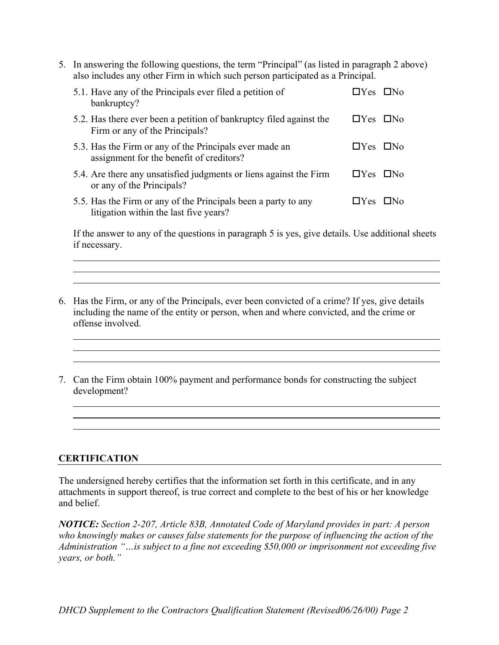5. In answering the following questions, the term "Principal" (as listed in paragraph 2 above) also includes any other Firm in which such person participated as a Principal.

| 5.1. Have any of the Principals ever filed a petition of<br>bankruptcy?                                  | $\Box$ Yes $\Box$ No |  |
|----------------------------------------------------------------------------------------------------------|----------------------|--|
| 5.2. Has there ever been a petition of bankruptcy filed against the<br>Firm or any of the Principals?    | $\Box$ Yes $\Box$ No |  |
| 5.3. Has the Firm or any of the Principals ever made an<br>assignment for the benefit of creditors?      | $\Box$ Yes $\Box$ No |  |
| 5.4. Are there any unsatisfied judgments or liens against the Firm<br>or any of the Principals?          | $\Box$ Yes $\Box$ No |  |
| 5.5. Has the Firm or any of the Principals been a party to any<br>litigation within the last five years? | $\Box$ Yes $\Box$ No |  |

If the answer to any of the questions in paragraph 5 is yes, give details. Use additional sheets if necessary.

- 6. Has the Firm, or any of the Principals, ever been convicted of a crime? If yes, give details including the name of the entity or person, when and where convicted, and the crime or offense involved.
- 7. Can the Firm obtain 100% payment and performance bonds for constructing the subject development?

## **CERTIFICATION**

The undersigned hereby certifies that the information set forth in this certificate, and in any attachments in support thereof, is true correct and complete to the best of his or her knowledge and belief.

*NOTICE: Section 2-207, Article 83B, Annotated Code of Maryland provides in part: A person who knowingly makes or causes false statements for the purpose of influencing the action of the Administration "…is subject to a fine not exceeding \$50,000 or imprisonment not exceeding five years, or both."*